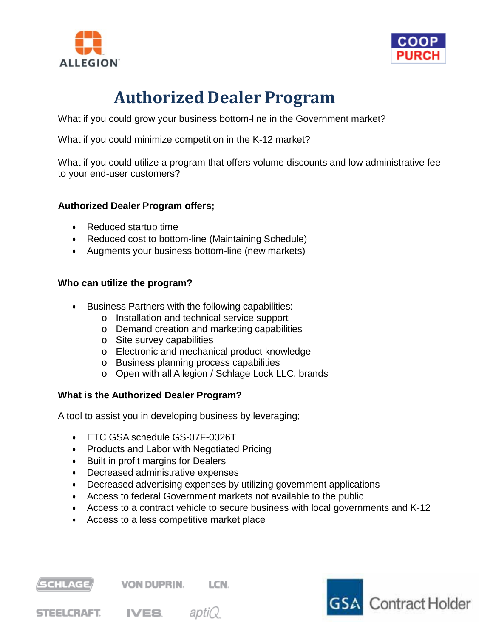



# **Authorized Dealer Program**

What if you could grow your business bottom-line in the Government market?

What if you could minimize competition in the K-12 market?

What if you could utilize a program that offers volume discounts and low administrative fee to your end-user customers?

## **Authorized Dealer Program offers;**

- Reduced startup time
- Reduced cost to bottom-line (Maintaining Schedule)
- Augments your business bottom-line (new markets)

#### **Who can utilize the program?**

- Business Partners with the following capabilities:
	- o Installation and technical service support
	- o Demand creation and marketing capabilities
	- o Site survey capabilities
	- o Electronic and mechanical product knowledge
	- o Business planning process capabilities
	- o Open with all Allegion / Schlage Lock LLC, brands

## **What is the Authorized Dealer Program?**

A tool to assist you in developing business by leveraging;

- ETC GSA schedule GS-07F-0326T
- Products and Labor with Negotiated Pricing
- Built in profit margins for Dealers
- Decreased administrative expenses
- Decreased advertising expenses by utilizing government applications
- Access to federal Government markets not available to the public
- Access to a contract vehicle to secure business with local governments and K-12
- Access to a less competitive market place



**STEELCRAFT.** IVES. aptic